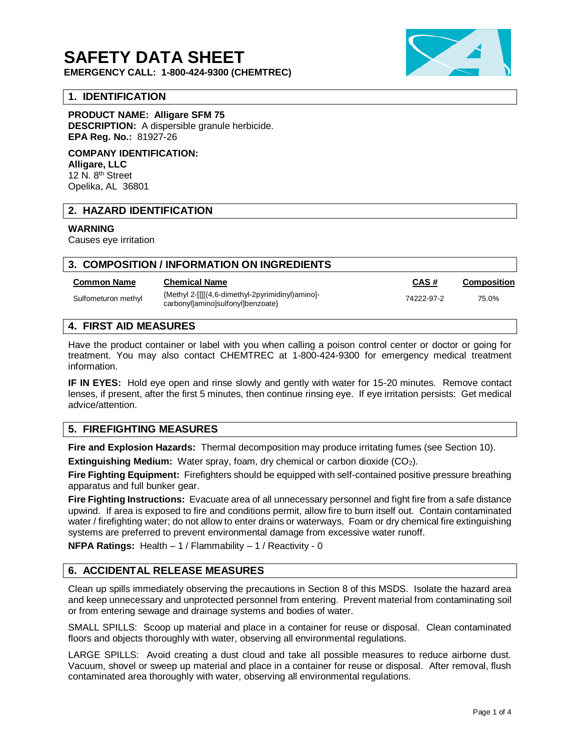# **SAFETY DATA SHEET**

**EMERGENCY CALL: 1-800-424-9300 (CHEMTREC)**

# **1. IDENTIFICATION**

**PRODUCT NAME: Alligare SFM 75**

**DESCRIPTION:** A dispersible granule herbicide. **EPA Reg. No.:** 81927-26

**COMPANY IDENTIFICATION: Alligare, LLC** 12 N. 8<sup>th</sup> Street Opelika, AL 36801

# **2. HAZARD IDENTIFICATION**

#### **WARNING**

Causes eye irritation

## **3. COMPOSITION / INFORMATION ON INGREDIENTS**

#### **Common Name Chemical Name CAS # Composition**

Sulfometuron methyl <br>Sulfometuron methyl  ${Methyl}$  2-[[[(4,6-dimethyl-2pyrimidinyl)amino]-{Methyl 2-[[[[(4,6-dimethyl-2pyrimidinyl)amino]-<br>carbonyl]amino]sulfonyl]benzoate} 75.0%

# **4. FIRST AID MEASURES**

Have the product container or label with you when calling a poison control center or doctor or going for treatment. You may also contact CHEMTREC at 1-800-424-9300 for emergency medical treatment information.

**IF IN EYES:** Hold eye open and rinse slowly and gently with water for 15-20 minutes. Remove contact lenses, if present, after the first 5 minutes, then continue rinsing eye. If eye irritation persists: Get medical advice/attention.

# **5. FIREFIGHTING MEASURES**

**Fire and Explosion Hazards:** Thermal decomposition may produce irritating fumes (see Section 10).

**Extinguishing Medium:** Water spray, foam, dry chemical or carbon dioxide (CO2).

**Fire Fighting Equipment:** Firefighters should be equipped with self-contained positive pressure breathing apparatus and full bunker gear.

**Fire Fighting Instructions:** Evacuate area of all unnecessary personnel and fight fire from a safe distance upwind. If area is exposed to fire and conditions permit, allow fire to burn itself out. Contain contaminated water / firefighting water; do not allow to enter drains or waterways. Foam or dry chemical fire extinguishing systems are preferred to prevent environmental damage from excessive water runoff.

**NFPA Ratings:** Health – 1 / Flammability – 1 / Reactivity - 0

# **6. ACCIDENTAL RELEASE MEASURES**

Clean up spills immediately observing the precautions in Section 8 of this MSDS. Isolate the hazard area and keep unnecessary and unprotected personnel from entering. Prevent material from contaminating soil or from entering sewage and drainage systems and bodies of water.

SMALL SPILLS: Scoop up material and place in a container for reuse or disposal. Clean contaminated floors and objects thoroughly with water, observing all environmental regulations.

LARGE SPILLS: Avoid creating a dust cloud and take all possible measures to reduce airborne dust. Vacuum, shovel or sweep up material and place in a container for reuse or disposal. After removal, flush contaminated area thoroughly with water, observing all environmental regulations.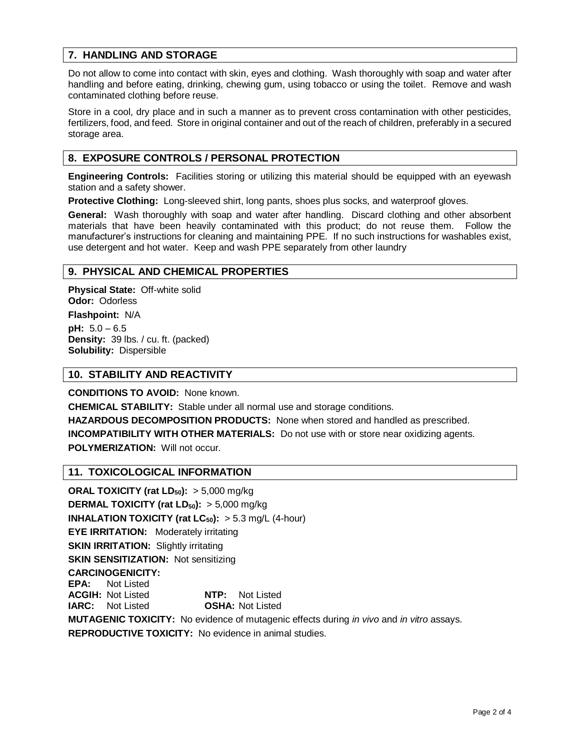# **7. HANDLING AND STORAGE**

Do not allow to come into contact with skin, eyes and clothing. Wash thoroughly with soap and water after handling and before eating, drinking, chewing gum, using tobacco or using the toilet. Remove and wash contaminated clothing before reuse.

Store in a cool, dry place and in such a manner as to prevent cross contamination with other pesticides, fertilizers, food, and feed. Store in original container and out of the reach of children, preferably in a secured storage area.

# **8. EXPOSURE CONTROLS / PERSONAL PROTECTION**

**Engineering Controls:** Facilities storing or utilizing this material should be equipped with an eyewash station and a safety shower.

**Protective Clothing:** Long-sleeved shirt, long pants, shoes plus socks, and waterproof gloves.

**General:** Wash thoroughly with soap and water after handling. Discard clothing and other absorbent materials that have been heavily contaminated with this product; do not reuse them. Follow the manufacturer's instructions for cleaning and maintaining PPE. If no such instructions for washables exist, use detergent and hot water. Keep and wash PPE separately from other laundry

#### **9. PHYSICAL AND CHEMICAL PROPERTIES**

**Physical State:** Off-white solid **Odor:** Odorless

**Flashpoint:** N/A **pH:** 5.0 – 6.5 **Density:** 39 lbs. / cu. ft. (packed) **Solubility:** Dispersible

## **10. STABILITY AND REACTIVITY**

**CONDITIONS TO AVOID:** None known.

**CHEMICAL STABILITY:** Stable under all normal use and storage conditions.

**HAZARDOUS DECOMPOSITION PRODUCTS:** None when stored and handled as prescribed.

**INCOMPATIBILITY WITH OTHER MATERIALS:** Do not use with or store near oxidizing agents. **POLYMERIZATION: Will not occur.** 

#### **11. TOXICOLOGICAL INFORMATION**

**ORAL TOXICITY (rat LD50):** > 5,000 mg/kg **DERMAL TOXICITY (rat LD50):** > 5,000 mg/kg **INHALATION TOXICITY (rat LC<sub>50</sub>):**  $> 5.3$  mg/L (4-hour) **EYE IRRITATION:** Moderately irritating **SKIN IRRITATION:** Slightly irritating **SKIN SENSITIZATION: Not sensitizing CARCINOGENICITY: EPA:** Not Listed **ACGIH:** Not Listed **NTP:** Not Listed **IARC:** Not Listed **OSHA:** Not Listed **MUTAGENIC TOXICITY:** No evidence of mutagenic effects during *in vivo* and *in vitro* assays. **REPRODUCTIVE TOXICITY:** No evidence in animal studies.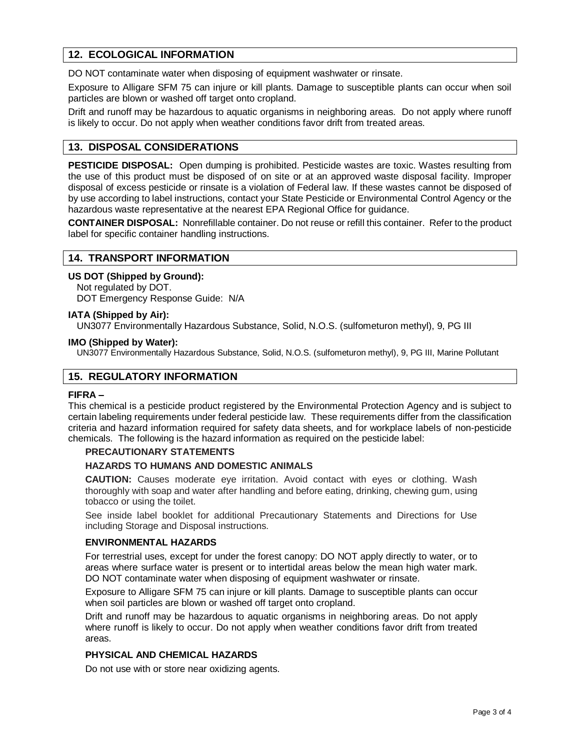# **12. ECOLOGICAL INFORMATION**

DO NOT contaminate water when disposing of equipment washwater or rinsate.

Exposure to Alligare SFM 75 can injure or kill plants. Damage to susceptible plants can occur when soil particles are blown or washed off target onto cropland.

Drift and runoff may be hazardous to aquatic organisms in neighboring areas. Do not apply where runoff is likely to occur. Do not apply when weather conditions favor drift from treated areas.

# **13. DISPOSAL CONSIDERATIONS**

**PESTICIDE DISPOSAL:** Open dumping is prohibited. Pesticide wastes are toxic. Wastes resulting from the use of this product must be disposed of on site or at an approved waste disposal facility. Improper disposal of excess pesticide or rinsate is a violation of Federal law. If these wastes cannot be disposed of by use according to label instructions, contact your State Pesticide or Environmental Control Agency or the hazardous waste representative at the nearest EPA Regional Office for guidance.

**CONTAINER DISPOSAL:** Nonrefillable container. Do not reuse or refill this container. Refer to the product label for specific container handling instructions.

#### **14. TRANSPORT INFORMATION**

#### **US DOT (Shipped by Ground):**

Not regulated by DOT. DOT Emergency Response Guide: N/A

#### **IATA (Shipped by Air):**

UN3077 Environmentally Hazardous Substance, Solid, N.O.S. (sulfometuron methyl), 9, PG III

#### **IMO (Shipped by Water):**

UN3077 Environmentally Hazardous Substance, Solid, N.O.S. (sulfometuron methyl), 9, PG III, Marine Pollutant

# **15. REGULATORY INFORMATION**

#### **FIFRA –**

This chemical is a pesticide product registered by the Environmental Protection Agency and is subject to certain labeling requirements under federal pesticide law. These requirements differ from the classification criteria and hazard information required for safety data sheets, and for workplace labels of non-pesticide chemicals. The following is the hazard information as required on the pesticide label:

#### **PRECAUTIONARY STATEMENTS**

#### **HAZARDS TO HUMANS AND DOMESTIC ANIMALS**

**CAUTION:** Causes moderate eye irritation. Avoid contact with eyes or clothing. Wash thoroughly with soap and water after handling and before eating, drinking, chewing gum, using tobacco or using the toilet.

See inside label booklet for additional Precautionary Statements and Directions for Use including Storage and Disposal instructions.

#### **ENVIRONMENTAL HAZARDS**

For terrestrial uses, except for under the forest canopy: DO NOT apply directly to water, or to areas where surface water is present or to intertidal areas below the mean high water mark. DO NOT contaminate water when disposing of equipment washwater or rinsate.

Exposure to Alligare SFM 75 can injure or kill plants. Damage to susceptible plants can occur when soil particles are blown or washed off target onto cropland.

Drift and runoff may be hazardous to aquatic organisms in neighboring areas. Do not apply where runoff is likely to occur. Do not apply when weather conditions favor drift from treated areas.

#### **PHYSICAL AND CHEMICAL HAZARDS**

Do not use with or store near oxidizing agents.